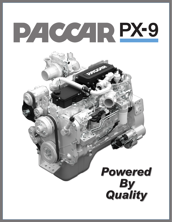# PACCARPX-9

## **Powered By<br>Quality**